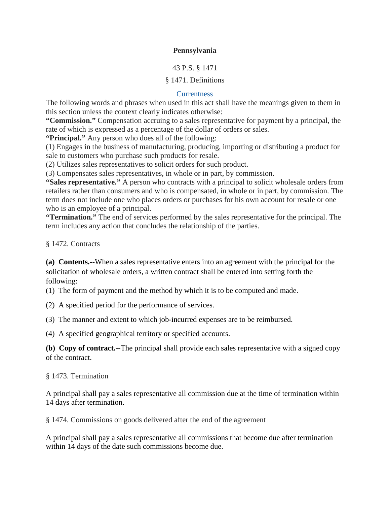## **Pennsylvania**

### 43 P.S. § 1471

### § 1471. Definitions

#### **Currentness**

The following words and phrases when used in this act shall have the meanings given to them in this section unless the context clearly indicates otherwise:

**"Commission."** Compensation accruing to a sales representative for payment by a principal, the rate of which is expressed as a percentage of the dollar of orders or sales.

**"Principal."** Any person who does all of the following:

(1) Engages in the business of manufacturing, producing, importing or distributing a product for sale to customers who purchase such products for resale.

(2) Utilizes sales representatives to solicit orders for such product.

(3) Compensates sales representatives, in whole or in part, by commission.

**"Sales representative."** A person who contracts with a principal to solicit wholesale orders from retailers rather than consumers and who is compensated, in whole or in part, by commission. The term does not include one who places orders or purchases for his own account for resale or one who is an employee of a principal.

**"Termination."** The end of services performed by the sales representative for the principal. The term includes any action that concludes the relationship of the parties.

§ 1472. Contracts

**(a) Contents.--**When a sales representative enters into an agreement with the principal for the solicitation of wholesale orders, a written contract shall be entered into setting forth the following:

(1) The form of payment and the method by which it is to be computed and made.

(2) A specified period for the performance of services.

(3) The manner and extent to which job-incurred expenses are to be reimbursed.

(4) A specified geographical territory or specified accounts.

**(b) Copy of contract.--**The principal shall provide each sales representative with a signed copy of the contract.

§ 1473. Termination

A principal shall pay a sales representative all commission due at the time of termination within 14 days after termination.

§ 1474. Commissions on goods delivered after the end of the agreement

A principal shall pay a sales representative all commissions that become due after termination within 14 days of the date such commissions become due.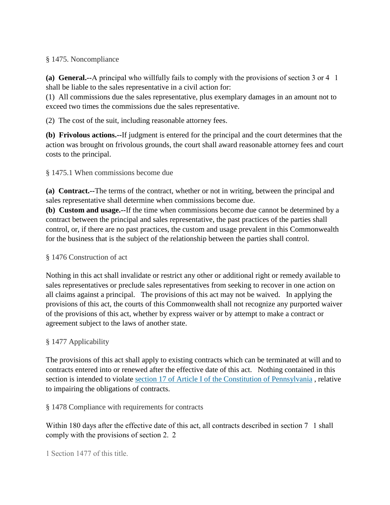## § 1475. Noncompliance

**(a) General.--**A principal who willfully fails to comply with the provisions of section 3 or 4 1 shall be liable to the sales representative in a civil action for:

(1) All commissions due the sales representative, plus exemplary damages in an amount not to exceed two times the commissions due the sales representative.

(2) The cost of the suit, including reasonable attorney fees.

**(b) Frivolous actions.--**If judgment is entered for the principal and the court determines that the action was brought on frivolous grounds, the court shall award reasonable attorney fees and court costs to the principal.

## § 1475.1 When commissions become due

**(a) Contract.--**The terms of the contract, whether or not in writing, between the principal and sales representative shall determine when commissions become due.

**(b) Custom and usage.--**If the time when commissions become due cannot be determined by a contract between the principal and sales representative, the past practices of the parties shall control, or, if there are no past practices, the custom and usage prevalent in this Commonwealth for the business that is the subject of the relationship between the parties shall control.

# § 1476 Construction of act

Nothing in this act shall invalidate or restrict any other or additional right or remedy available to sales representatives or preclude sales representatives from seeking to recover in one action on all claims against a principal. The provisions of this act may not be waived. In applying the provisions of this act, the courts of this Commonwealth shall not recognize any purported waiver of the provisions of this act, whether by express waiver or by attempt to make a contract or agreement subject to the laws of another state.

# § 1477 Applicability

The provisions of this act shall apply to existing contracts which can be terminated at will and to contracts entered into or renewed after the effective date of this act. Nothing contained in this section is intended to violate section 17 of Article I of the Constitution of Pennsylvania , relative to impairing the obligations of contracts.

# § 1478 Compliance with requirements for contracts

Within 180 days after the effective date of this act, all contracts described in section 7 1 shall comply with the provisions of section 2. 2

1 Section 1477 of this title.